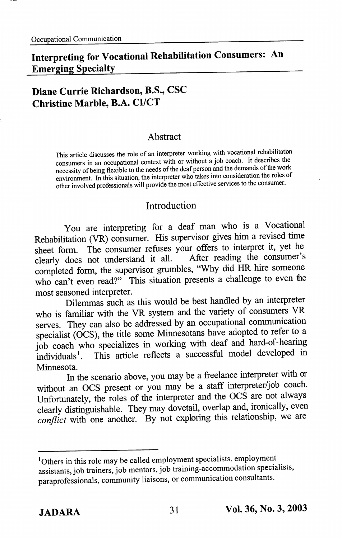# Interpreting for Vocational Rehabilitation Consnmers: An Emerging Specialty

### Diane Currie Richardson, B.S., CSC Christine Marble, B.A. CI/CT

#### Abstract

This article discusses the role of an interpreter working with vocational rehabilitatbn consumers in an occupational context with or without a job coach. It describes the necessity of being flexible to the needs of the deaf person and the demands of the work environment. In this situation, the interpreter who takes into consideration the roles of other involved professionals will provide the most effective services to the consumer.

#### Introduction

You are interpreting for a deaf man who is a Vocational Rehabilitation (VR) consumer. His supervisor gives him a revised time sheet form. The consumer refuses your offers to interpret it, yet he clearly does not understand it all. After reading the consumer's completed form, the supervisor grumbles, "Why did HR hire someone who can't even read?" This situation presents a challenge to even the most seasoned interpreter.

Dilemmas such as this would be best handled by an interpreter who is familiar with the VR system and the variety of consumers VR serves. They can also be addressed by an occupational communication specialist (OCS), the title some Minnesotans have adopted to refer to a job coach who specializes in working with deaf and hard-of-hearing individuals'. This article reflects a successful model developed in Minnesota.

In the scenario above, you may be a freelance interpreter with or without an OCS present or you may be a staff interpreter/job coach. Unfortunately, the roles of the interpreter and the OCS are not always clearly distinguishable. They may dovetail, overlap and, ironically, even conflict with one another. By not exploring this relationship, we are

<sup>&</sup>lt;sup>1</sup>Others in this role may be called employment specialists, employment assistants, job trainers, job mentors, job training-accommodation specialists, paraprofessionals, community liaisons, or communication consultants.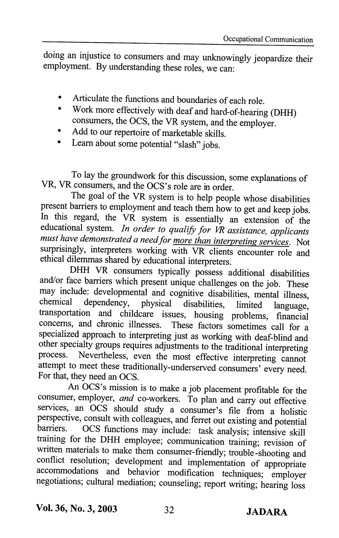doing an injustice to consumers and may unknowingly jeopardize their employment. By understanding these roles, we can:

- Articulate the functions and boundaries of each role.
- Work more effectively with deaf and hard-of-hearing (DHH)  $\bullet$ consumers, the DCS, the VR system, and the employer.
- Add to our repertoire of marketable skills.
- Learn about some potential "slash" jobs.

To lay the groundwork for this discussion, some explanations of VR, VR consumers, and the OCS's role are in order.

The goal of the VR system is to help people whose disabilities present barriers to employment and teach them how to get and keep jobs. In this regard, the VR system is essentially an extension of the educational system. In order to qualify for VR assistance, applicants must have demonstrated a need for more than interpreting services. Not surprisingly, interpreters working with VR clients encounter role and ethical dilemmas shared by educational interpreters.

DHH VR consumers typically possess additional disabilities and/or face barriers which present unique challenges on the job. These may include: developmental and cognitive disabilities, mental illness, chemical dependency physical disabilities, limited language dependency, physical disabilities, limited language. transportation and childcare issues, housing problems, financial concerns, and chronic illnesses. These factors sometimes call for a specialized approach to interpreting just as working with deaf-blind and other specialty groups requires adjustments to the traditional interpreting process. Nevertheless, even the most effective interpreting cannot attempt to meet these traditionally-underserved consumers' every need. For that, they need an OCS.

An OCS's mission is to make a job placement profitable for the consumer, employer, and co-workers. To plan and carry out effective services, an OCS should study a consumer's file from a holistic perspective, consult with colleagues, and ferret out existing and potential barriers. OCS functions may include: task analysis; intensive skill training for the DHH employee; communication training; revision of written materials to make them consumer-friendly; trouble-shooting and conflict resolution; development and implementation of appropriate accornmodations and behavior modification techniques; employer negotiations; cultural mediation; counseling; report writing; hearing loss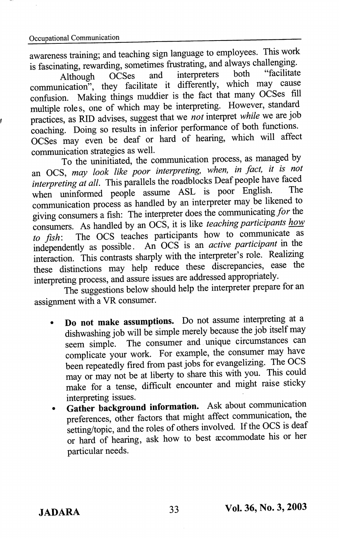awareness training; and teaching sign language to employees. This work is fascinating, rewarding, sometimes frustrating, and always challenging.<br>Although OCSes and interpreters both "facilitate

Although OCSes and interpreters both facilitate communication", they facilitate it differently, which may cause confusion. Making things muddier is the fact that many OCSes fill multiple roles, one of which may be interpreting. However, standard practices, as RID advises, suggest that we not interpret while we are job coaching. Doing so results in inferior performance of both fimctions. OCSes may even be deaf or hard of hearing, which will affect communication strategies as well.

To the uninitiated, the communication process, as managed by an OCS, may look like poor interpreting, when, in fact, it is not interpreting at all. This parallels the roadblocks Deaf people have faced when uninformed people assume ASL is poor English. communication process as handled by an interpreter may be likened to giving consumers a fish; The interpreter does the communicating/or the consumers. As handled by an OCS, it is like *teaching participants how* to  $fish$ : The OCS teaches participants how to communicate as to fish: The OCS teaches participants how to communicate as independently as possible. An OCS is an *active participant* in the interaction. This contrasts sharply with the interpreter's role. Realizing these distinctions may help reduce these discrepancies, ease the interpreting process, and assure issues are addressed appropriately.

The suggestions below should help the interpreter prepare for an assignment with a VR consumer.

- Do not make assumptions. Do not assume interpreting at a dishwashing job will be simple merely because the job itself may seem simple. The consumer and unique circumstances can complicate your work. For example, the consumer may have been repeatedly fired from past jobs for evangelizing. The OCS may or may not be at liberty to share this with you. This could make for a tense, difficult encounter and might raise sticky interpreting issues.
- Gather background information. Ask about communication preferences, other factors that might affect communication, the setting/topic, and the roles of others involved. If the OCS is deaf or hard of hearing, ask how to best accommodate his or her particular needs.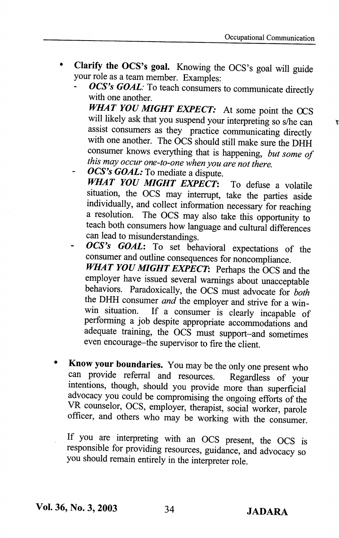- Clarify the OCS's goal. Knowing the OCS's goal will guide  $\bullet$ your role as a team member. Examples:
	- OCS's GOAL: To teach consumers to communicate directly with one another. WHAT YOU MIGHT EXPECT: At some point the OCS will likely ask that you suspend your interpreting so s/he can assist consumers as they practice communicating directly with one another. The OCS should still make sure the DHH consumer knows everything that is happening, but some of this may occur one-to-one when you are not there.
	- OCS's GOAL: To mediate a dispute. WHAT YOU MIGHT EXPECT: To defuse a volatile situation, the OCS may interrupt, take the parties aside individually, and collect information necessary for reaching a resolution. The OCS may also take this opportunity to teach both consumers how language and cultural differences can lead to misunderstandings.
	- OCS's GOAL: To set behavioral expectations of the consumer and outline consequences for noncompliance. WHAT YOU MIGHT EXPECT: Perhaps the OCS and the employer have issued several warnings about unacceptable behaviors. Paradoxically, the OCS must advocate for both the DHH consumer *and* the employer and strive for a win-<br>win situation. If a consumer is clearly incapable of If a consumer is clearly incapable of performing a job despite appropriate accommodations and adequate training, the OCS must support-and sometimes even encourage-the supervisor to fire the client.
- Know your boundaries. You may be the only one present who can provide referral and resources. Regardless of your intentions, though, should you provide more than superficial advocacy you could be compromising the ongoing efforts of the VR counselor, OCS, employer, therapist, social worker, parole officer, and others who may be working with the consumer.

If you are interpreting with an OCS present, the OCS is responsible for providing resources, guidance, and advocacy so you should remain entirely in the interpreter role.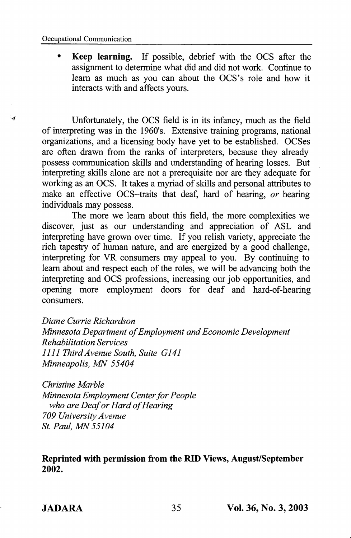u

Keep learning. If possible, debrief with the DCS after the assignment to determine what did and did not work. Continue to learn as much as you can about the OCS's role and how it interacts with and affects yours.

Unfortunately, the OCS field is in its infancy, much as the field of interpreting was in the 1960's. Extensive training programs, national organizations, and a licensing body have yet to be established. OCSes are often drawn from the ranks of interpreters, because they already possess communication skills and understanding of hearing losses. But interpreting skills alone are not a prerequisite nor are they adequate for working as an OCS. It takes a myriad of skills and personal attributes to make an effective OCS-traits that deaf, hard of hearing, or hearing individuals may possess.

The more we learn about this field, the more complexities we discover, just as our understanding and appreciation of ASL and interpreting have grown over time. If you relish variety, appreciate the rich tapestry of human nature, and are energized by a good challenge, interpreting for VR consumers may appeal to you. By continuing to leam about and respect each of the roles, we will be advancing both the interpreting and OCS professions, increasing our job opportunities, and opening more employment doors for deaf and hard-of-hearing consumers.

Diane Currie Richardson Minnesota Department of Employment and Economic Development Rehabilitation Services 1111 Third Avenue South, Suite G141 Minneapolis, MN 55404

Christine Marble Minnesota Employment Center for People who are Deaf or Hard of Hearing 709 University Avenue St. Paul, MN 55104

Reprinted with permission from the RID Views, August/September 2002.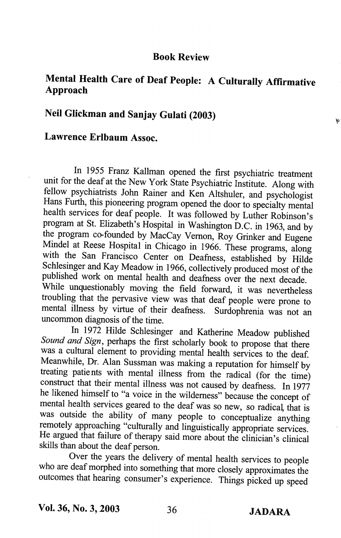#### Book Review

## Mental Health Care of Deaf People: A Culturally Affirmative Approach

## Neil Glickman and Sanjay Gulati (2003)

### Lawrence Erlbaum Assoc.

In 1955 Franz Kallman opened the first psychiatric treatment unit for the deaf at the New York State Psychiatric Institute. Along with fellow psychiatrists John Rainer and Ken Altshuler, and psychologist Hans Furth, this pioneering program opened the door to specialty mental health services for deaf people. It was followed by Luther Robinson's program at St. Elizabeth's Hospital in Washington D.C. in 1963, and by the program co-founded by MacCay Vemon, Roy Grinker and Eugene Mindel at Reese Hospital in Chicago in 1966. These programs, along with the San Francisco Center on Deafness, established by Hilde Schlesinger and Kay Meadow in 1966, collectively produced most of the published work on mental health and deafness over the next decade. While unquestionably moving the field forward, it was nevertheless troubling that the pervasive view was that deaf people were prone to mental illness by virtue of their deafness. Surdophrenia was not an uncommon diagnosis of the time.

In 1972 Hilde Schlesinger and Katherine Meadow published Sound and Sign, perhaps the first scholarly book to propose that there was a cultural element to providing mental health services to the deaf. Meanwhile, Dr. Alan Sussman was making a reputation for himself by treating patients with mental illness from the radical (for the time) construct that their mental illness was not caused by deafness. In 1977 he likened himself to "a voice in the wilderness" because the concept of mental health services geared to the deaf was so new, so radical, that is was outside the ability of many people to conceptualize anything remotely approaching "culturally and linguistically appropriate services. He argued that failure of therapy said more about the clinician's clinical skills than about the deaf person.

Over the years the delivery of mental health services to people who are deaf morphed into something that more closely approximates the outcomes that hearing consumer's experience. Things picked up speed

r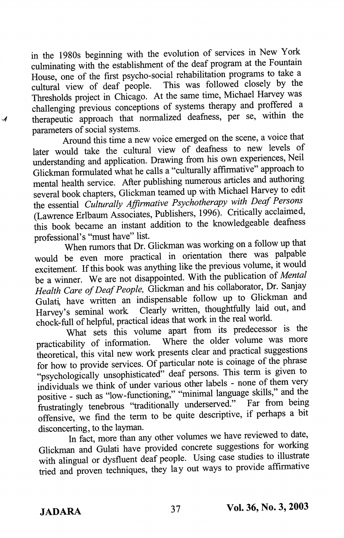in the 1980s beginning with the evolution of services in New York culminating with the establishment of the deaf program at the Fountain House, one of the first psycho-social rehabilitation programs to take a cultural view of deaf people. This was followed closely by the Thresholds project in Chicago. At the same time, Michael Harvey was challenging previous conceptions of systems therapy and proffered a therapeutic approach that normalized deafness, per se, within the parameters of social systems.

Around this time a new voice emerged on the scene, a voice that later would take the cultural view of deafness to new levels of understanding and application. Drawing from his own experiences, Neil Glickman formulated what he calls a "culturally affirmative" approach to mental health service. After publishing numerous articles and authoring several book chapters, Glickman teamed up with Michael Harvey to edit the essential Culturally Affirmative Psychotherapy with Deaf Persons (Lawrence Erlbaum Associates, Publishers, 1996). Critically acclaimed, this book became an instant addition to the knowledgeable deafness professional's "must have" list.

When rumors that Dr. Glickman was working on a follow up that would be even more practical in orientation there was palpable excitement. If this book was anything like the previous volume, it would be a winner. We are not disappointed. With the publication of Mental Health Care of Deaf People, Glickman and his collaborator, Dr. Sanjay Gulati, have written an indispensable follow up to Glickman and Harvey's seminal work Clearly written, thoughtfully laid out, and chock-full of helpful, practical ideas that work in the real world.

What sets this volume apart from its predecessor is the practicability of information. Where the older volume was more theoretical, this vital new work presents clear and practical suggestions for how to provide services. Of particular note is coinage of the phrase "psychologically unsophisticated" deaf persons. This term is given to individuals we think of under various other labels - none of them very positive - such as "low-functioning," "minimal language skills," and the frustratingly tenebrous "traditionally underserved." Far from being offensive, we find the term to be quite descriptive, if perhaps a bit disconcerting, to the layman.

In fact, more than any other volumes we have reviewed to date, Glickman and Gulati have provided concrete suggestions for working with alingual or dysfluent deaf people. Using case studies to illustrate tried and proven techniques, they lay out ways to provide affirmative

 $\boldsymbol{\mathcal{A}}$